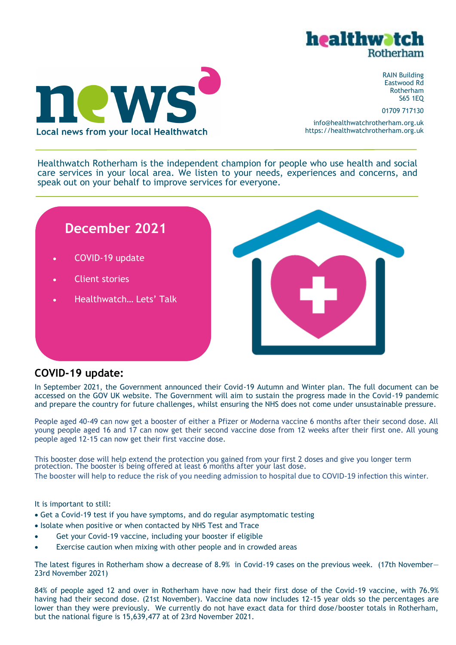



RAIN Building Eastwood Rd Rotherham S65 1EQ

01709 717130

info@healthwatchrotherham.org.uk https://healthwatchrotherham.org.uk

Healthwatch Rotherham is the independent champion for people who use health and social care services in your local area. We listen to your needs, experiences and concerns, and speak out on your behalf to improve services for everyone.

# **December 2021**

- COVID-19 update
- Client stories
- Healthwatch… Lets' Talk



# **COVID-19 update:**

In September 2021, the Government announced their Covid-19 Autumn and Winter plan. The full document can be accessed on the GOV UK website. The Government will aim to sustain the progress made in the Covid-19 pandemic and prepare the country for future challenges, whilst ensuring the NHS does not come under unsustainable pressure.

People aged 40-49 can now get a booster of either a Pfizer or Moderna vaccine 6 months after their second dose. All young people aged 16 and 17 can now get their second vaccine dose from 12 weeks after their first one. All young people aged 12-15 can now get their first vaccine dose.

This booster dose will help extend the protection you gained from your first 2 doses and give you longer term protection. The booster is being offered at least 6 months after your last dose. The booster will help to reduce the risk of you needing admission to hospital due to COVID-19 infection this winter.

It is important to still:

- Get a Covid-19 test if you have symptoms, and do regular asymptomatic testing
- Isolate when positive or when contacted by NHS Test and Trace
- Get your Covid-19 vaccine, including your booster if eligible
- Exercise caution when mixing with other people and in crowded areas

The latest figures in Rotherham show a decrease of 8.9% in Covid-19 cases on the previous week. (17th November— 23rd November 2021)

84% of people aged 12 and over in Rotherham have now had their first dose of the Covid-19 vaccine, with 76.9% having had their second dose. (21st November). Vaccine data now includes 12-15 year olds so the percentages are lower than they were previously. We currently do not have exact data for third dose/booster totals in Rotherham, but the national figure is 15,639,477 at of 23rd November 2021.